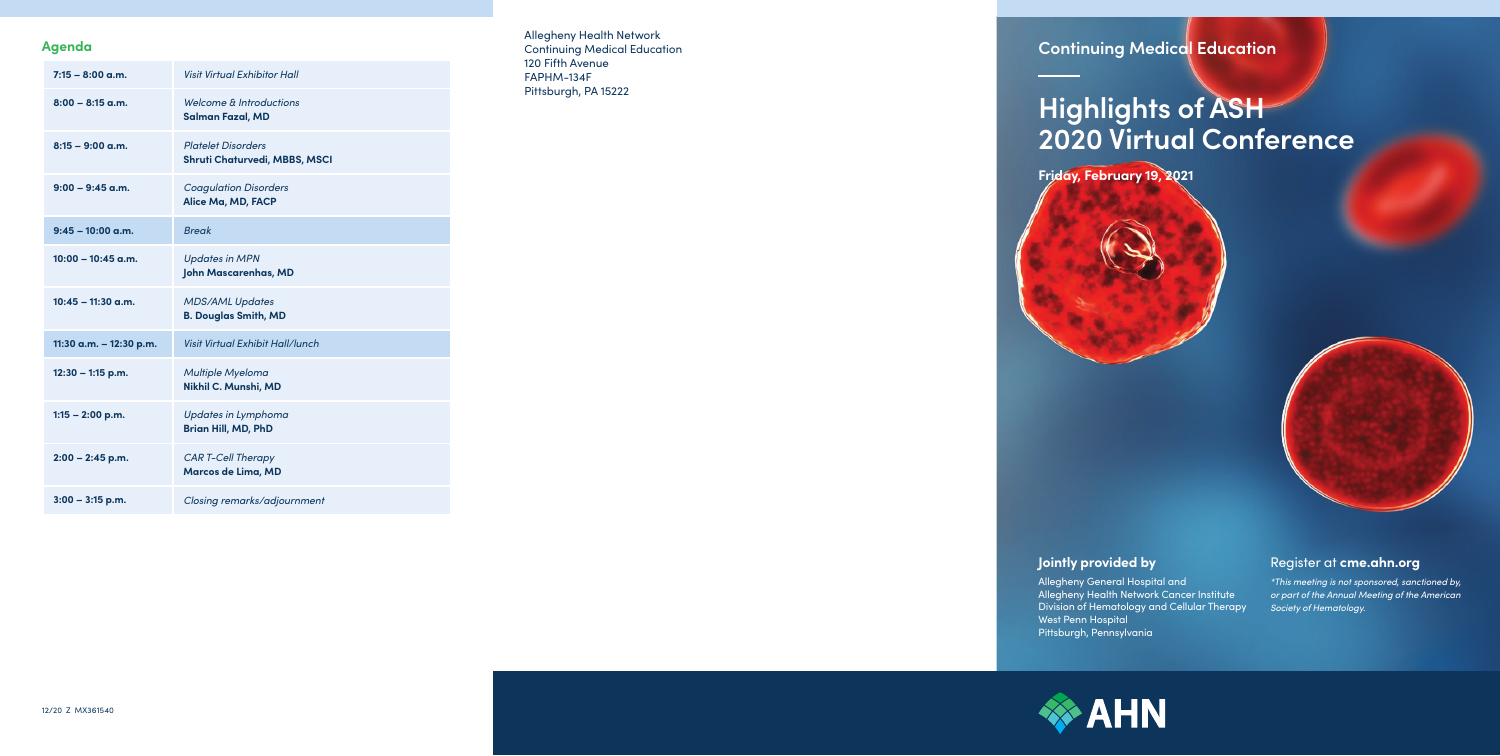Allegheny Health Network Continuing Medical Education 120 Fifth Avenue FAPHM-134F Pittsburgh, PA 15222

#### **Agenda**

| $7:15 - 8:00$ a.m.      | <b>Visit Virtual Exhibitor Hall</b>                               |
|-------------------------|-------------------------------------------------------------------|
| $8:00 - 8:15$ a.m.      | Welcome & Introductions<br><b>Salman Fazal, MD</b>                |
| $8:15 - 9:00$ a.m.      | <b>Platelet Disorders</b><br><b>Shruti Chaturvedi, MBBS, MSCI</b> |
| $9:00 - 9:45$ a.m.      | <b>Coagulation Disorders</b><br>Alice Ma, MD, FACP                |
| $9:45 - 10:00$ a.m.     | <b>Break</b>                                                      |
| $10:00 - 10:45$ g.m.    | <b>Updates in MPN</b><br>John Mascarenhas, MD                     |
| $10:45 - 11:30$ a.m.    | <b>MDS/AML Updates</b><br><b>B. Douglas Smith, MD</b>             |
| 11:30 a.m. - 12:30 p.m. |                                                                   |
|                         | Visit Virtual Exhibit Hall/lunch                                  |
| 12:30 - 1:15 p.m.       | Multiple Myeloma<br>Nikhil C. Munshi, MD                          |
| $1:15 - 2:00$ p.m.      | <b>Updates in Lymphoma</b><br><b>Brian Hill, MD, PhD</b>          |
| $2:00 - 2:45$ p.m.      | <b>CAR T-Cell Therapy</b><br>Marcos de Lima, MD                   |

## **Continuing Medical Education**

**Friday, February 19, 2021**



# **Highlights of ASH 2020 Virtual Conference**

### **Jointly provided by**

Allegheny General Hospital and Allegheny Health Network Cancer Institute Division of Hematology and Cellular Therapy West Penn Hospital Pittsburgh, Pennsylvania

### Register at **[cme.ahn.org](http://cme.ahn.org)**

*\*This meeting is not sponsored, sanctioned by, or part of the Annual Meeting of the American Society of Hematology.*